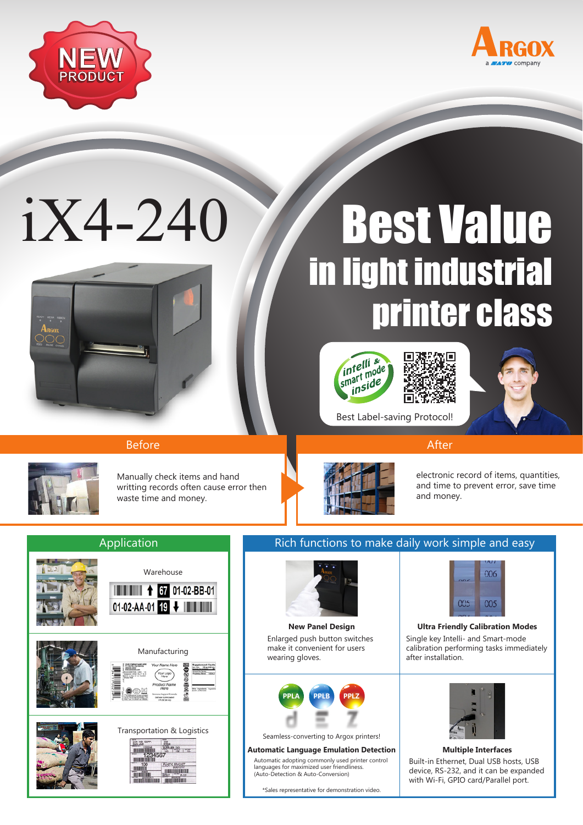



# iX4-240



## Best Value in light industrial printer class







Before After After After After After After

Manually check items and hand writting records often cause error then waste time and money.



electronic record of items, quantities, and time to prevent error, save time and money.



### Application **Rich functions to make daily work simple and easy**



Enlarged push button switches make it convenient for users wearing gloves.



Seamless-converting to Argox printers!

#### **Automatic Language Emulation Detection Multiple Interfaces**

Automatic adopting commonly used printer control languages for maximized user friendliness. (Auto-Detection & Auto-Conversion)

\*Sales representative for demonstration video.



#### Single key Intelli- and Smart-mode calibration performing tasks immediately after installation. **New Panel Design Ultra Friendly Calibration Modes**



#### Built-in Ethernet, Dual USB hosts, USB device, RS-232, and it can be expanded with Wi-Fi, GPIO card/Parallel port.